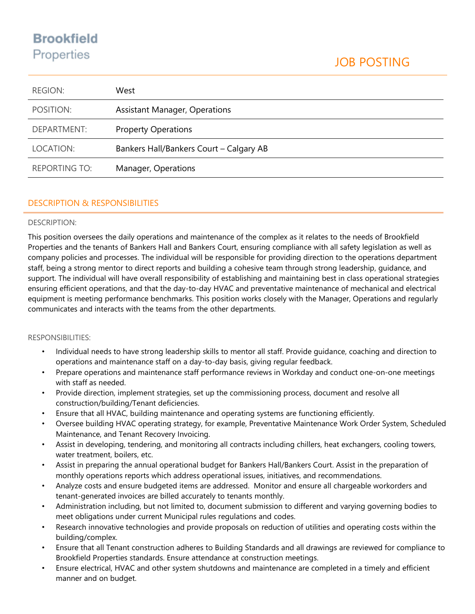# **Brookfield** Properties

| <b>REGION:</b>       | West                                    |
|----------------------|-----------------------------------------|
| POSITION:            | <b>Assistant Manager, Operations</b>    |
| DEPARTMENT:          | <b>Property Operations</b>              |
| LOCATION:            | Bankers Hall/Bankers Court - Calgary AB |
| <b>REPORTING TO:</b> | Manager, Operations                     |

## DESCRIPTION & RESPONSIBILITIES

## DESCRIPTION:

This position oversees the daily operations and maintenance of the complex as it relates to the needs of Brookfield Properties and the tenants of Bankers Hall and Bankers Court, ensuring compliance with all safety legislation as well as company policies and processes. The individual will be responsible for providing direction to the operations department staff, being a strong mentor to direct reports and building a cohesive team through strong leadership, guidance, and support. The individual will have overall responsibility of establishing and maintaining best in class operational strategies ensuring efficient operations, and that the day-to-day HVAC and preventative maintenance of mechanical and electrical equipment is meeting performance benchmarks. This position works closely with the Manager, Operations and regularly communicates and interacts with the teams from the other departments.

## RESPONSIBILITIES:

- Individual needs to have strong leadership skills to mentor all staff. Provide guidance, coaching and direction to operations and maintenance staff on a day-to-day basis, giving regular feedback.
- Prepare operations and maintenance staff performance reviews in Workday and conduct one-on-one meetings with staff as needed.
- Provide direction, implement strategies, set up the commissioning process, document and resolve all construction/building/Tenant deficiencies.
- Ensure that all HVAC, building maintenance and operating systems are functioning efficiently.
- Oversee building HVAC operating strategy, for example, Preventative Maintenance Work Order System, Scheduled Maintenance, and Tenant Recovery Invoicing.
- Assist in developing, tendering, and monitoring all contracts including chillers, heat exchangers, cooling towers, water treatment, boilers, etc.
- Assist in preparing the annual operational budget for Bankers Hall/Bankers Court. Assist in the preparation of monthly operations reports which address operational issues, initiatives, and recommendations.
- Analyze costs and ensure budgeted items are addressed. Monitor and ensure all chargeable workorders and tenant-generated invoices are billed accurately to tenants monthly.
- Administration including, but not limited to, document submission to different and varying governing bodies to meet obligations under current Municipal rules regulations and codes.
- Research innovative technologies and provide proposals on reduction of utilities and operating costs within the building/complex.
- Ensure that all Tenant construction adheres to Building Standards and all drawings are reviewed for compliance to Brookfield Properties standards. Ensure attendance at construction meetings.
- Ensure electrical, HVAC and other system shutdowns and maintenance are completed in a timely and efficient manner and on budget.